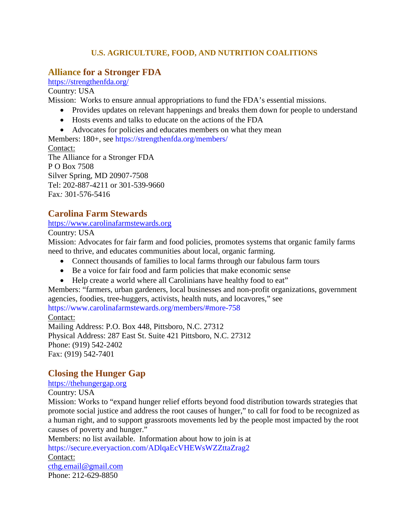### **U.S. AGRICULTURE, FOOD, AND NUTRITION COALITIONS**

# **Alliance for a Stronger FDA**

<https://strengthenfda.org/>

Country: USA

Mission: Works to ensure annual appropriations to fund the FDA's essential missions.

- Provides updates on relevant happenings and breaks them down for people to understand
- Hosts events and talks to educate on the actions of the FDA
- Advocates for policies and educates members on what they mean

Members: 180+, see <https://strengthenfda.org/members/>

Contact: The Alliance for a Stronger FDA P O Box 7508 Silver Spring, MD 20907-7508 Tel: 202-887-4211 or 301-539-9660 Fax*:* 301-576-5416

# **Carolina Farm Stewards**

[https://www.carolinafarmstewards.org](https://www.carolinafarmstewards.org/)

Country: USA

Mission: Advocates for fair farm and food policies, promotes systems that organic family farms need to thrive, and educates communities about local, organic farming.

- Connect thousands of families to local farms through our fabulous farm tours
- Be a voice for fair food and farm policies that make economic sense
- Help create a world where all Carolinians have healthy food to eat"

Members: "farmers, urban gardeners, local businesses and non-profit organizations, government agencies, foodies, tree-huggers, activists, health nuts, and locavores," see

<https://www.carolinafarmstewards.org/members/#more-758> Contact:

Mailing Address: P.O. Box 448, Pittsboro, N.C. 27312 Physical Address: 287 East St. Suite 421 Pittsboro, N.C. 27312 Phone: (919) 542-2402 Fax: (919) 542-7401

# **Closing the Hunger Gap**

### [https://thehungergap.org](https://thehungergap.org/)

Country: USA

Mission: Works to "expand hunger relief efforts beyond food distribution towards strategies that promote social justice and address the root causes of hunger," to call for food to be recognized as a human right, and to support grassroots movements led by the people most impacted by the root causes of poverty and hunger."

Members: no list available. Information about how to join is at

<https://secure.everyaction.com/ADlqaEcVHEWsWZZttaZrag2> Contact: [cthg.email@gmail.com](mailto:cthg.email@gmail.com)

Phone: 212-629-8850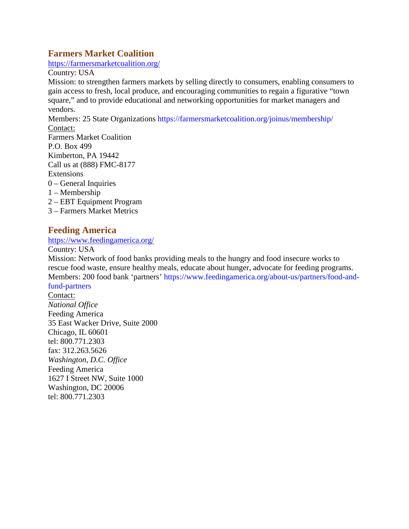# **Farmers Market Coalition**

<https://farmersmarketcoalition.org/>

Country: USA

Mission: to strengthen farmers markets by selling directly to consumers, enabling consumers to gain access to fresh, local produce, and encouraging communities to regain a figurative "town square," and to provide educational and networking opportunities for market managers and vendors.

Members: 25 State Organizations<https://farmersmarketcoalition.org/joinus/membership/> Contact:

- Farmers Market Coalition P.O. Box 499 Kimberton, PA 19442 Call us at (888) FMC-8177 **Extensions** 0 – General Inquiries 1 – Membership
- 2 EBT Equipment Program
- 3 Farmers Market Metrics

### **Feeding America**

<https://www.feedingamerica.org/>

Country: USA

Mission: Network of food banks providing meals to the hungry and food insecure works to rescue food waste, ensure healthy meals, educate about hunger, advocate for feeding programs. Members: 200 food bank 'partners' [https://www.feedingamerica.org/about-us/partners/food-and](https://www.feedingamerica.org/about-us/partners/food-and-fund-partners)[fund-partners](https://www.feedingamerica.org/about-us/partners/food-and-fund-partners)

Contact: *National Office* Feeding America 35 East Wacker Drive, Suite 2000 Chicago, IL 60601 tel: 800.771.2303 fax: 312.263.5626 *Washington, D.C. Office* Feeding America 1627 I Street NW, Suite 1000 Washington, DC 20006 tel: 800.771.2303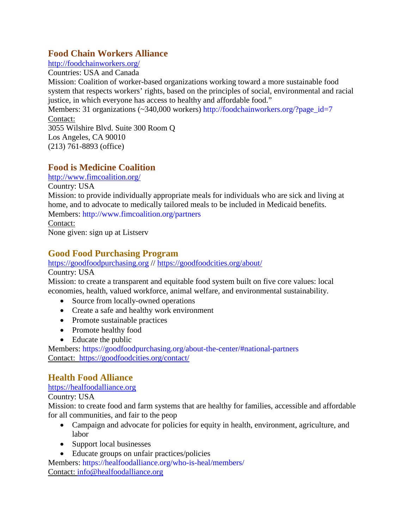## **Food Chain Workers Alliance**

<http://foodchainworkers.org/>

Countries: USA and Canada

Mission: Coalition of worker-based organizations working toward a more sustainable food system that respects workers' rights, based on the principles of social, environmental and racial justice, in which everyone has access to healthy and affordable food."

Members: 31 organizations (~340,000 workers) [http://foodchainworkers.org/?page\\_id=7](http://foodchainworkers.org/?page_id=7) Contact:

3055 Wilshire Blvd. Suite 300 Room Q Los Angeles, CA 90010 (213) 761-8893 (office)

# **Food is Medicine Coalition**

<http://www.fimcoalition.org/>

Country: USA

Mission: to provide individually appropriate meals for individuals who are sick and living at home, and to advocate to medically tailored meals to be included in Medicaid benefits. Members:<http://www.fimcoalition.org/partners>

Contact:

None given: sign up at Listserv

### **Good Food Purchasing Program**

#### [https://goodfoodpurchasing.org](https://goodfoodpurchasing.org/) //<https://goodfoodcities.org/about/>

Country: USA

Mission: to create a transparent and equitable food system built on five core values: local economies, health, valued workforce, animal welfare, and environmental sustainability.

- Source from locally-owned operations
- Create a safe and healthy work environment
- Promote sustainable practices
- Promote healthy food
- Educate the public

Members:<https://goodfoodpurchasing.org/about-the-center/#national-partners> Contact: <https://goodfoodcities.org/contact/>

# **Health Food Alliance**

#### [https://healfoodalliance.org](https://healfoodalliance.org/)

Country: USA

Mission: to create food and farm systems that are healthy for families, accessible and affordable for all communities, and fair to the peop

- Campaign and advocate for policies for equity in health, environment, agriculture, and labor
- Support local businesses
- Educate groups on unfair practices/policies

Members:<https://healfoodalliance.org/who-is-heal/members/> Contact: [info@healfoodalliance.org](mailto:info@healfoodalliance.org)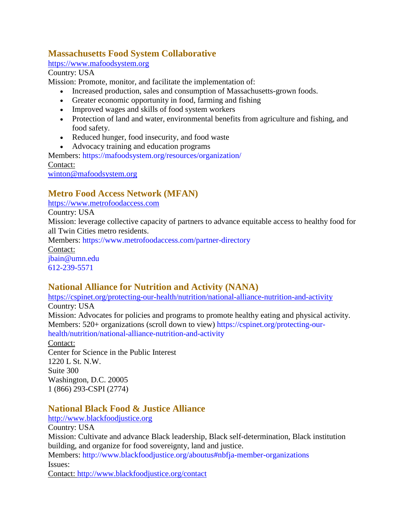# **Massachusetts Food System Collaborative**

[https://www.mafoodsystem.org](https://www.mafoodsystem.org/)

Country: USA

Mission: Promote, monitor, and facilitate the implementation of:

- Increased production, sales and consumption of Massachusetts-grown foods.
- Greater economic opportunity in food, farming and fishing
- Improved wages and skills of food system workers
- Protection of land and water, environmental benefits from agriculture and fishing, and food safety.
- Reduced hunger, food insecurity, and food waste
- Advocacy training and education programs

Members:<https://mafoodsystem.org/resources/organization/> Contact:

[winton@mafoodsystem.org](mailto:winton@mafoodsystem.org)

# **Metro Food Access Network (MFAN)**

[https://www.metrofoodaccess.com](https://www.metrofoodaccess.com/)

Country: USA

Mission: leverage collective capacity of partners to advance equitable access to healthy food for all Twin Cities metro residents.

Members:<https://www.metrofoodaccess.com/partner-directory>

Contact: [jbain@umn.edu](mailto:jbain@umn.edu) [612-239-5571](tel:612-239-5571)

**National Alliance for Nutrition and Activity (NANA)**

<https://cspinet.org/protecting-our-health/nutrition/national-alliance-nutrition-and-activity> Country: USA

Mission: Advocates for policies and programs to promote healthy eating and physical activity. Members: 520+ organizations (scroll down to view) [https://cspinet.org/protecting-our](https://cspinet.org/protecting-our-health/nutrition/national-alliance-nutrition-and-activity)[health/nutrition/national-alliance-nutrition-and-activity](https://cspinet.org/protecting-our-health/nutrition/national-alliance-nutrition-and-activity)

Contact:

Center for Science in the Public Interest 1220 L St. N.W. Suite 300 Washington, D.C. 20005 1 (866) 293-CSPI (2774)

# **National Black Food & Justice Alliance**

[http://www.blackfoodjustice.org](http://www.blackfoodjustice.org/)

Country: USA

Mission: Cultivate and advance Black leadership, Black self-determination, Black institution building, and organize for food sovereignty, land and justice.

Members: <http://www.blackfoodjustice.org/aboutus#nbfja-member-organizations> Issues:

Contact: <http://www.blackfoodjustice.org/contact>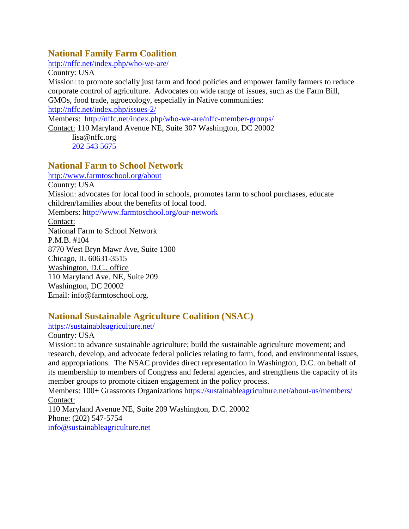### **National Family Farm Coalition**

<http://nffc.net/index.php/who-we-are/>

Country: USA

Mission: to promote socially just farm and food policies and empower family farmers to reduce corporate control of agriculture. Advocates on wide range of issues, such as the Farm Bill, GMOs, food trade, agroecology, especially in Native communities:

<http://nffc.net/index.php/issues-2/>

Members: <http://nffc.net/index.php/who-we-are/nffc-member-groups/>

Contact: 110 Maryland Avenue NE, Suite 307 Washington, DC 20002

lisa@nffc.org [202 543 5675](tel:202%20543%205675)

### **National Farm to School Network**

<http://www.farmtoschool.org/about> Country: USA Mission: advocates for local food in schools, promotes farm to school purchases, educate children/families about the benefits of local food. Members: <http://www.farmtoschool.org/our-network> Contact: National Farm to School Network P.M.B. #104 8770 West Bryn Mawr Ave, Suite 1300 Chicago, IL 60631-3515 Washington, D.C., office 110 Maryland Ave. NE, Suite 209 Washington, DC 20002 Email: info@farmtoschool.org.

# **National Sustainable Agriculture Coalition (NSAC)**

<https://sustainableagriculture.net/>

Country: USA

Mission: to advance sustainable agriculture; build the sustainable agriculture movement; and research, develop, and advocate federal policies relating to farm, food, and environmental issues, and appropriations. The NSAC provides direct representation in Washington, D.C. on behalf of its membership to members of Congress and federal agencies, and strengthens the capacity of its member groups to promote citizen engagement in the policy process.

Members: 100+ Grassroots Organizations<https://sustainableagriculture.net/about-us/members/> Contact:

110 Maryland Avenue NE, Suite 209 Washington, D.C. 20002 Phone: (202) 547-5754 [info@sustainableagriculture.net](mailto:info@sustainableagriculture.net)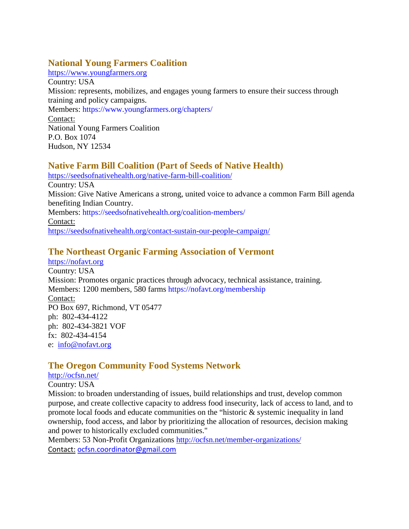# **National Young Farmers Coalition**

[https://www.youngfarmers.org](https://www.youngfarmers.org/) Country: USA Mission: represents, mobilizes, and engages young farmers to ensure their success through training and policy campaigns. Members:<https://www.youngfarmers.org/chapters/> Contact: National Young Farmers Coalition P.O. Box 1074 Hudson, NY 12534

# **Native Farm Bill Coalition (Part of Seeds of Native Health)**

<https://seedsofnativehealth.org/native-farm-bill-coalition/> Country: USA Mission: Give Native Americans a strong, united voice to advance a common Farm Bill agenda benefiting Indian Country. Members:<https://seedsofnativehealth.org/coalition-members/> Contact: <https://seedsofnativehealth.org/contact-sustain-our-people-campaign/>

# **The Northeast Organic Farming Association of Vermont**

[https://nofavt.org](https://nofavt.org/) Country: USA Mission: Promotes organic practices through advocacy, technical assistance, training. Members: 1200 members, 580 farms<https://nofavt.org/membership> Contact: PO Box 697, Richmond, VT 05477 ph: 802-434-4122 ph: 802-434-3821 VOF fx: 802-434-4154 e: [info@nofavt.org](mailto:info@nofavt.org)

# **The Oregon Community Food Systems Network**

#### <http://ocfsn.net/>

#### Country: USA

Mission: to broaden understanding of issues, build relationships and trust, develop common purpose, and create collective capacity to address food insecurity, lack of access to land, and to promote local foods and educate communities on the "historic & systemic inequality in land ownership, food access, and labor by prioritizing the allocation of resources, decision making and power to historically excluded communities."

Members: 53 Non-Profit Organizations<http://ocfsn.net/member-organizations/> Contact: [ocfsn.coordinator@gmail.com](mailto:ocfsn.coordinator@gmail.com)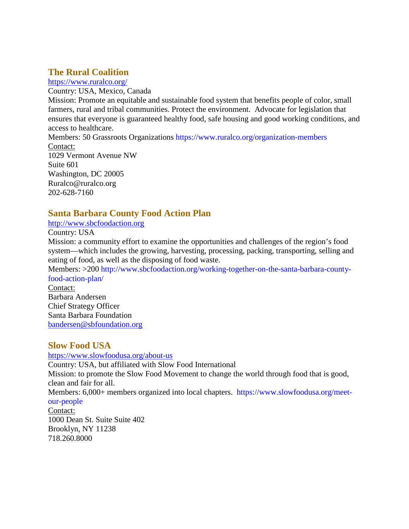# **The Rural Coalition**

<https://www.ruralco.org/>

Country: USA, Mexico, Canada

Mission: Promote an equitable and sustainable food system that benefits people of color, small farmers, rural and tribal communities. Protect the environment. Advocate for legislation that ensures that everyone is guaranteed healthy food, safe housing and good working conditions, and access to healthcare.

Members: 50 Grassroots Organizations<https://www.ruralco.org/organization-members> Contact: 1029 Vermont Avenue NW Suite 601 Washington, DC 20005 Ruralco@ruralco.org

202-628-7160

# **Santa Barbara County Food Action Plan**

[http://www.sbcfoodaction.org](http://www.sbcfoodaction.org/)

Country: USA

Mission: a community effort to examine the opportunities and challenges of the region's food system—which includes the growing, harvesting, processing, packing, transporting, selling and eating of food, as well as the disposing of food waste.

Members: >200 [http://www.sbcfoodaction.org/working-together-on-the-santa-barbara-county](http://www.sbcfoodaction.org/working-together-on-the-santa-barbara-county-food-action-plan/)[food-action-plan/](http://www.sbcfoodaction.org/working-together-on-the-santa-barbara-county-food-action-plan/)

Contact: Barbara Andersen Chief Strategy Officer Santa Barbara Foundation [bandersen@sbfoundation.org](mailto:bandersen@sbfoundation.org)

### **Slow Food USA**

#### <https://www.slowfoodusa.org/about-us>

Country: USA, but affiliated with Slow Food International Mission: to promote the Slow Food Movement to change the world through food that is good, clean and fair for all.

Members: 6,000+ members organized into local chapters. [https://www.slowfoodusa.org/meet](https://www.slowfoodusa.org/meet-our-people)[our-people](https://www.slowfoodusa.org/meet-our-people)

Contact: 1000 Dean St. Suite Suite 402 Brooklyn, NY 11238 718.260.8000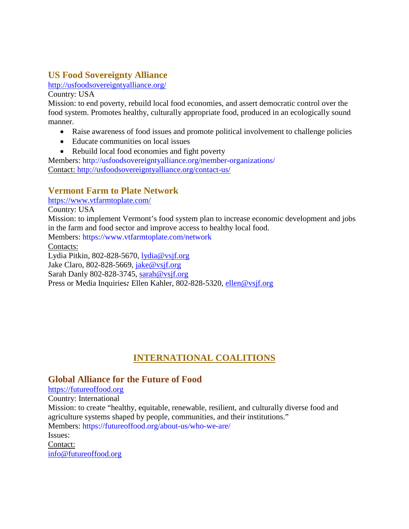# **US Food Sovereignty Alliance**

<http://usfoodsovereigntyalliance.org/>

Country: USA

Mission: to end poverty, rebuild local food economies, and assert democratic control over the food system. Promotes healthy, culturally appropriate food, produced in an ecologically sound manner.

- Raise awareness of food issues and promote political involvement to challenge policies
- Educate communities on local issues
- Rebuild local food economies and fight poverty

Members: <http://usfoodsovereigntyalliance.org/member-organizations/> Contact: <http://usfoodsovereigntyalliance.org/contact-us/>

# **Vermont Farm to Plate Network**

<https://www.vtfarmtoplate.com/>

Country: USA

Mission: to implement Vermont's food system plan to increase economic development and jobs in the farm and food sector and improve access to healthy local food.

Members: <https://www.vtfarmtoplate.com/network>

Contacts:

Lydia Pitkin, 802-828-5670, [lydia@vsjf.org](mailto:lydia@vsjf.org)

Jake Claro, 802-828-5669, [jake@vsjf.org](mailto:jake@vsjf.org)

Sarah Danly 802-828-3745, [sarah@vsjf.org](mailto:sarah@vsjf.org)

Press or Media Inquiries*:* Ellen Kahler, 802-828-5320, [ellen@vsjf.org](mailto:ellen@vsjf.org)

# **INTERNATIONAL COALITIONS**

### **Global Alliance for the Future of Food**

[https://futureoffood.org](https://futureoffood.org/)

Country: International

Mission: to create "healthy, equitable, renewable, resilient, and culturally diverse food and agriculture systems shaped by people, communities, and their institutions."

Members:<https://futureoffood.org/about-us/who-we-are/>

#### Issues:

Contact: [info@futureoffood.org](mailto:info@futureoffood.org)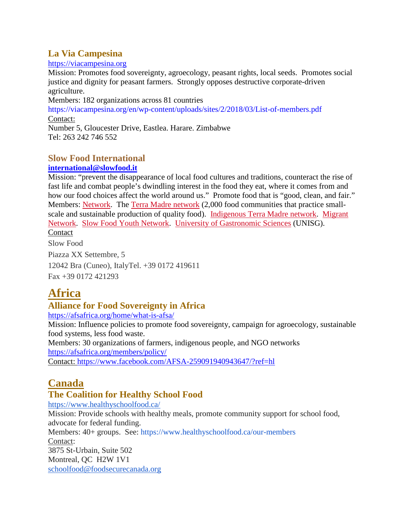# **La Via Campesina**

#### [https://viacampesina.org](https://viacampesina.org/)

Mission: Promotes food sovereignty, agroecology, peasant rights, local seeds. Promotes social justice and dignity for peasant farmers. Strongly opposes destructive corporate-driven agriculture.

Members: 182 organizations across 81 countries

<https://viacampesina.org/en/wp-content/uploads/sites/2/2018/03/List-of-members.pdf> Contact:

Number 5, Gloucester Drive, Eastlea. Harare. Zimbabwe Tel: 263 242 746 552

# **Slow Food International**

#### **[international@slowfood.it](mailto:international@slowfood.it)**

Mission: "prevent the disappearance of local food cultures and traditions, counteract the rise of fast life and combat people's dwindling interest in the food they eat, where it comes from and how our food choices affect the world around us." Promote food that is "good, clean, and fair." Members: [Network.](https://www.slowfood.com/our-network/network-of-members/) The [Terra Madre network](https://www.slowfood.com/our-network/terra-madre-network/) (2,000 food communities that practice smallscale and sustainable production of quality food). [Indigenous Terra Madre network.](https://www.slowfood.com/our-network/indigenous/) [Migrant](https://www.slowfood.com/our-network/migrant-network/)  [Network.](https://www.slowfood.com/our-network/migrant-network/) [Slow Food Youth Network.](https://www.slowfood.com/our-network/slow-food-youth-network/) [University of Gastronomic Sciences](https://www.slowfood.com/our-network/university-of-gastronomic-sciences/) (UNISG). Contact

Slow Food Piazza XX Settembre, 5 12042 Bra (Cuneo), ItalyTel. +39 0172 419611 Fax +39 0172 421293

# **Africa**

# **Alliance for Food Sovereignty in Africa**

<https://afsafrica.org/home/what-is-afsa/>

Mission: Influence policies to promote food sovereignty, campaign for agroecology, sustainable food systems, less food waste.

Members: 30 organizations of farmers, indigenous people, and NGO networks <https://afsafrica.org/members/policy/>

Contact: <https://www.facebook.com/AFSA-259091940943647/?ref=hl>

# **Canada**

# **The Coalition for Healthy School Food**

<https://www.healthyschoolfood.ca/> Mission: Provide schools with healthy meals, promote community support for school food, advocate for federal funding. Members: 40+ groups. See: <https://www.healthyschoolfood.ca/our-members> Contact: 3875 St-Urbain, Suite 502 Montreal, QC H2W 1V1 [schoolfood@foodsecurecanada.org](mailto:schoolfood@foodsecurecanada.org)